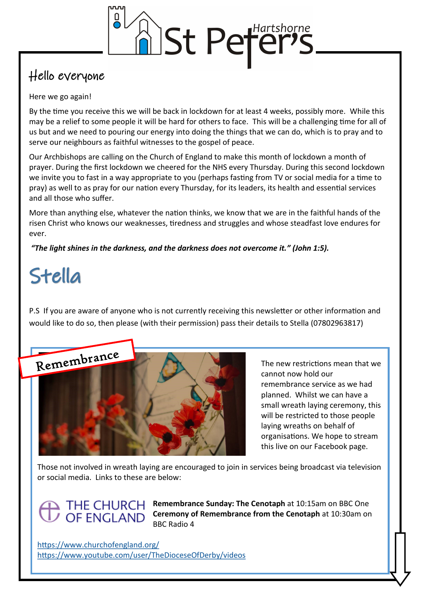

### Hello everyone

#### Here we go again!

By the time you receive this we will be back in lockdown for at least 4 weeks, possibly more. While this may be a relief to some people it will be hard for others to face. This will be a challenging time for all of us but and we need to pouring our energy into doing the things that we can do, which is to pray and to serve our neighbours as faithful witnesses to the gospel of peace.

Our Archbishops are calling on the Church of England to make this month of lockdown a month of prayer. During the first lockdown we cheered for the NHS every Thursday. During this second lockdown we invite you to fast in a way appropriate to you (perhaps fasting from TV or social media for a time to pray) as well to as pray for our nation every Thursday, for its leaders, its health and essential services and all those who suffer.

More than anything else, whatever the nation thinks, we know that we are in the faithful hands of the risen Christ who knows our weaknesses, tiredness and struggles and whose steadfast love endures for ever.

*"The light shines in the darkness, and the darkness does not overcome it." (John 1:5).*

# Stella

P.S If you are aware of anyone who is not currently receiving this newsletter or other information and would like to do so, then please (with their permission) pass their details to Stella (07802963817)



The new restrictions mean that we cannot now hold our remembrance service as we had planned. Whilst we can have a small wreath laying ceremony, this will be restricted to those people laying wreaths on behalf of organisations. We hope to stream this live on our Facebook page.

Those not involved in wreath laying are encouraged to join in services being broadcast via television or social media. Links to these are below:

### THE CHURCH **OF ENGLAND**

**Remembrance Sunday: The Cenotaph** at 10:15am on BBC One **Ceremony of Remembrance from the Cenotaph** at 10:30am on BBC Radio 4

<https://www.churchofengland.org/> <https://www.youtube.com/user/TheDioceseOfDerby/videos>